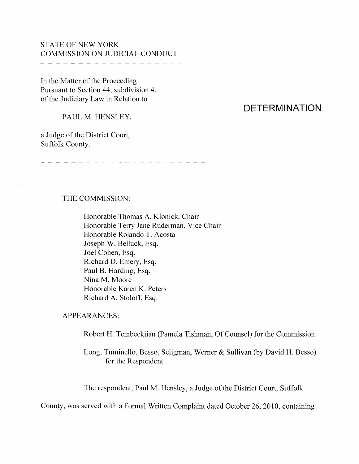## STATE OF NEW YORK COMMISSION ON JUDICIAL CONDUCT

\_\_\_\_\_\_\_\_\_\_\_\_\_\_\_\_\_\_\_\_\_\_\_\_\_\_\_\_\_

In the Matter of the Proceeding Pursuant to Section 44, subdivision 4, of the Judiciary Law in Relation to

PAUL M. HENSLEY,

a Judge of the District Court, Suffolk County.

# **DETERMINATION**

.<br>An teach and and and and and and an an an anti-man and and an an and and an an an an an an an an an an an an

### THE COMMISSION:

Honorable Thomas A. Klonick, Chair Honorable Terry Jane Ruderman, Vice Chair Honorable Rolando T. Acosta Joseph W. Belluck, Esq. Joel Cohen, Esq. Richard D. Emery, Esq. Paul B. Harding, Esq. Nina M. Moore Honorable Karen K. Peters Richard A. Stoloff, Esq.

APPEARANCES:

Robert H. Tembeckjian (Pamela Tishman, Of Counsel) for the Commission

Long, Tuminello, Besso, Seligman, Werner & Sullivan (by David H. Besso) for the Respondent

The respondent, Paul M. Hensley, a Judge of the District Court, Suffolk

County, was served with a Formal Written Complaint dated October 26, 2010, containing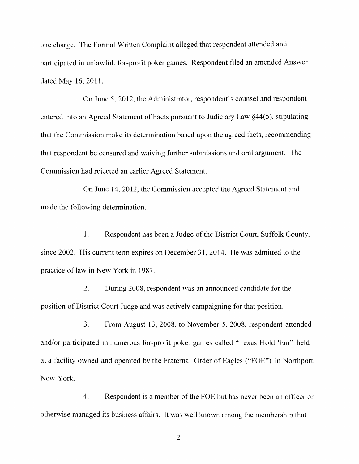one charge. The Formal Written Complaint alleged that respondent attended and participated in unlawful, for-profit poker games. Respondent filed an amended Answer dated May 16, 201l.

On June 5, 2012, the Administrator, respondent's counsel and respondent entered into an Agreed Statement of Facts pursuant to Judiciary Law  $\S 44(5)$ , stipulating that the Commission make its determination based upon the agreed facts, recommending that respondent be censured and waiving further submissions and oral argument. The Commission had rejected an earlier Agreed Statement.

On June 14, 2012, the Commission accepted the Agreed Statement and made the following determination.

1. Respondent has been a Judge of the District Court, Suffolk County, since 2002. His current term expires on December 31, 2014. He was admitted to the practice of law in New York in 1987.

2. During 2008, respondent was an announced candidate for the position of District Court Judge and was actively campaigning for that position.

3. From August 13, 2008, to November 5, 2008, respondent attended and/or participated in numerous for-profit poker games called "Texas Hold 'Em" held at a facility owned and operated by the Fraternal Order of Eagles ("FOE") in Northport, New York.

4. Respondent is a member of the FOE but has never been an officer or otherwise managed its business affairs. It was well known mnong the membership that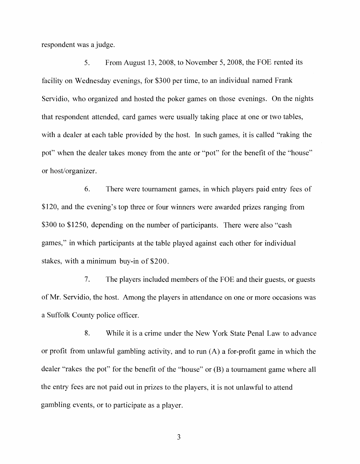respondent was a judge.

5. From August 13, 2008, to November 5, 2008, the FOE rented its facility on Wednesday evenings, for \$300 per time, to an individual named Frank Servidio, who organized and hosted the poker games on those evenings. On the nights that respondent attended, card games were usually taking place at one or two tables, with a dealer at each table provided by the host. In such games, it is called "raking the pot" when the dealer takes money from the ante or "pot" for the benefit of the "house" or host/organizer.

6. There were tournament games, in which players paid entry fees of \$120, and the evening's top three or four winners were awarded prizes ranging from \$300 to \$1250, depending on the number of participants. There were also "cash" games," in which participants at the table played against each other for individual stakes, with a minimum buy-in of \$200.

7. The players included members of the FOE and their guests, or guests of Mr. Servidio, the host. Among the players in attendance on one or more occasions was a Suffolk County police officer.

8. While it is a crime under the New York State Penal Law to advance or profit from unlawful gambling activity, and to run  $(A)$  a for-profit game in which the dealer "rakes the pot" for the benefit of the "house" or (B) a tournament game where all the entry fees are not paid out in prizes to the players, it is not unlawful to attend gambling events, or to participate as a player.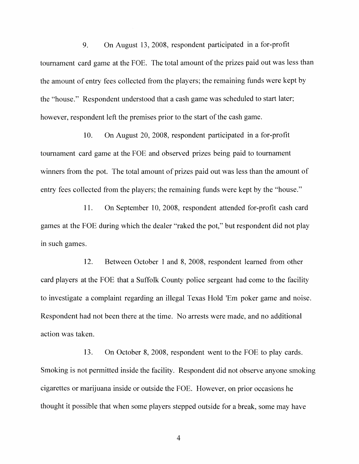9. On August 13, 2008, respondent participated in a for-profit tournament card game at the FOE. The total amount of the prizes paid out was less than the amount of entry fees collected from the players; the remaining funds were kept by the "house." Respondent understood that a cash game was scheduled to start later; however, respondent left the premises prior to the start of the cash game.

1O. On August 20, 2008, respondent participated in a for-profit tournament card game at the FOE and observed prizes being paid to tournament winners from the pot. The total amount of prizes paid out was less than the amount of entry fees collected from the players; the remaining funds were kept by the "house."

11. On September 10, 2008, respondent attended for-profit cash card games at the FOE during which the dealer "raked the pot," but respondent did not play in such games.

12. Between October 1 and 8, 2008, respondent learned from other card players at the FOE that a Suffolk County police sergeant had come to the facility to investigate a complaint regarding an illegal Texas Hold 'Em poker game and noise. Respondent had not been there at the time. No arrests were made, and no additional action was taken.

13. On October 8, 2008, respondent went to the FOE to play cards. Smoking is not permitted inside the facility. Respondent did not observe anyone smoking cigarettes or marijuana inside or outside the FOE. However, on prior occasions he thought it possible that when some players stepped outside for a break, some may have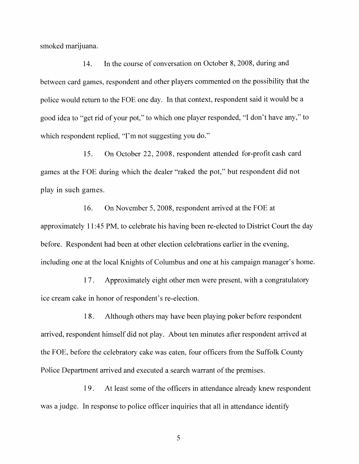smoked marijuana.

14. In the course of conversation on October 8, 2008, during and between card games, respondent and other players commented on the possibility that the police would return to the FOE one day. In that context, respondent said it would be a good idea to "get rid of your pot," to which one player responded, "I don't have any," to which respondent replied, "I'm not suggesting you do."

15. On October 22,2008, respondent attended for-profit cash card games at the FOE during which the dealer "raked the pot," but respondent did not play in such games.

16. On November 5, 2008, respondent arrived at the FOE at approximately 11 :45 PM, to celebrate his having been re-elected to District Court the day before. Respondent had been at other election celebrations earlier in the evening, including one at the local Knights of Columbus and one at his campaign manager's home.

17 . Approximately eight other men were present, with a congratulatory ice cream cake in honor of respondent's re-election.

18. Although others may have been playing poker before respondent arrived, respondent himself did not play. About ten minutes after respondent arrived at the FOE, before the celebratory cake was eaten, four officers from the Suffolk County Police Department arrived and executed a search warrant of the premises.

19. At least some of the officers in attendance already knew respondent was a judge. In response to police officer inquiries that all in attendance identify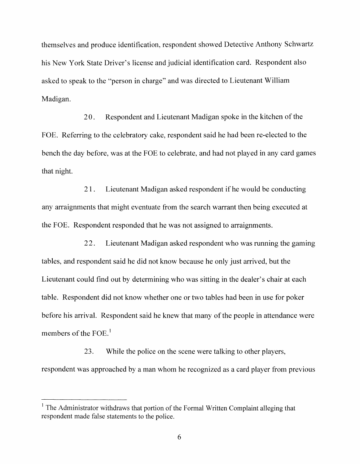themselves and produce identification, respondent showed Detective Anthony Schwartz his New York State Driver's license and judicial identification card. Respondent also asked to speak to the "person in charge" and was directed to Lieutenant William Madigan.

20. Respondent and Lieutenant Madigan spoke in the kitchen of the FOE. Referring to the celebratory cake, respondent said he had been re-elected to the bench the day before, was at the FOE to celebrate, and had not played in any card games that night.

2 1. Lieutenant Madigan asked respondent if he would be conducting any arraignments that might eventuate from the search warrant then being executed at the FOE. Respondent responded that he was not assigned to arraignments.

22. Lieutenant Madigan asked respondent who was running the gaming tables, and respondent said he did not know because he only just arrived, but the Lieutenant could find out by determining who was sitting in the dealer's chair at each table. Respondent did not know whether one or two tables had been in use for poker before his arrival. Respondent said he knew that many of the people in attendance were members of the FOE. $<sup>1</sup>$ </sup>

23. While the police on the scene were talking to other players, respondent was approached by a man whom he recognized as a card player from previous

 $\frac{1}{1}$  The Administrator withdraws that portion of the Formal Written Complaint alleging that respondent made false statements to the police.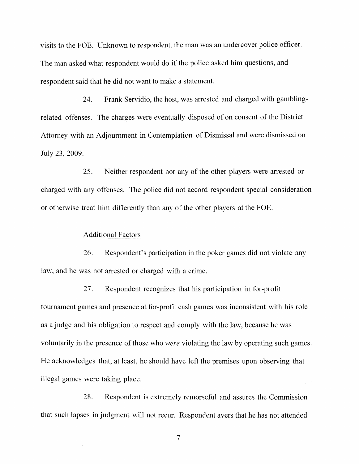visits to the FOE. Unknown to respondent, the man was an undercover police officer. The man asked what respondent would do if the police asked him questions, and respondent said that he did not want to make a statement.

24. Frank Servidio, the host, was arrested and charged with gamblingrelated offenses. The charges were eventually disposed of on consent of the District Attorney with an Adjournment in Contemplation of Dismissal and were dismissed on July 23, 2009.

25. Neither respondent nor any of the other players were arrested or charged with any offenses. The police did not accord respondent special consideration or otherwise treat him differently than any of the other players at the FOE.

#### Additional Factors

26. Respondent's participation in the poker games did not violate any law, and he was not arrested or charged with a crime.

27. Respondent recognizes that his participation in for-profit tournament games and presence at for-profit cash games was inconsistent with his role as a judge and his obligation to respect and comply with the law, because he was voluntarily in the presence of those who *were* violating the law by operating such games. He acknowledges that, at least, he should have left the premises upon observing that illegal games were taking place.

28. Respondent is extremely remorseful and assures the Commission that such lapses in judgment will not recur. Respondent avers that he has not attended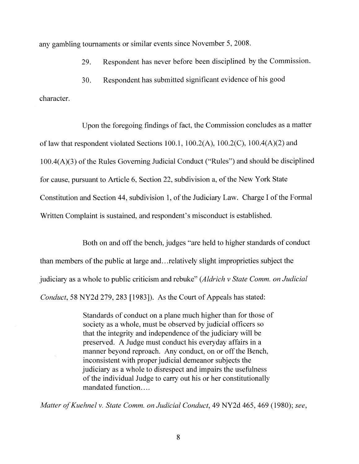any gambling tournaments or similar events since November 5, 2008.

29. Respondent has never before been disciplined by the Commission.

30. Respondent has submitted significant evidence of his good

character.

Upon the foregoing findings of fact, the Commission concludes as a matter of law that respondent violated Sections 100.1,  $100.2(A)$ ,  $100.2(C)$ ,  $100.4(A)(2)$  and  $100.4(A)(3)$  of the Rules Governing Judicial Conduct ("Rules") and should be disciplined for cause, pursuant to Article 6, Section 22, subdivision a, of the New York State Constitution and Section 44, subdivision 1, of the Judiciary Law. Charge I of the Formal Written Complaint is sustained, and respondent's misconduct is established.

Both on and off the bench, judges "are held to higher standards of conduct than members of the public at large and...relatively slight improprieties subject the judiciary as a whole to public criticism and rebuke" *(Aldrich* v *State Comm. on Judicial Conduct,* 58 NY2d 279, 283 [1983]). As the Court of Appeals has stated:

> Standards of conduct on a plane much higher than for those of society as a whole, must be observed by judicial officers so that the integrity and independence of the judiciary will be preserved. A Judge must conduct his everyday affairs in a manner beyond reproach. Any conduct, on or off the Bench, inconsistent with proper judicial demeanor subjects the judiciary as a whole to disrespect and impairs the usefulness of the individual Judge to carry out his or her constitutionally mandated function....

*Matter ofKuehnel* v. *State Comm. on Judicial Conduct,* 49 NY2d 465,469 (1980); *see,*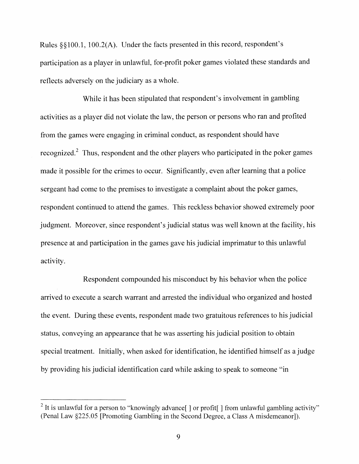Rules §§lOO.l, lOO.2(A). Under the facts presented in this record, respondent's participation as a player in unlawful, for-profit poker games violated these standards and reflects adversely on the judiciary as a whole.

While it has been stipulated that respondent's involvement in gambling activities as a player did not violate the law, the person or persons who ran and profited from the games were engaging in criminal conduct, as respondent should have recognized.<sup>2</sup> Thus, respondent and the other players who participated in the poker games made it possible for the crimes to occur. Significantly, even after learning that a police sergeant had come to the premises to investigate a complaint about the poker games, respondent continued to attend the games. This reckless behavior showed extremely poor judgment. Moreover, since respondent's judicial status was well known at the facility, his presence at and participation in the games gave his judicial imprimatur to this unlawful activity.

Respondent compounded his misconduct by his behavior when the police arrived to execute a search warrant and arrested the individual who organized and hosted the event. During these events, respondent made two gratuitous references to his judicial status, conveying an appearance that he was asserting his judicial position to obtain special treatment. Initially, when asked for identification, he identified himself as a judge by providing his judicial identification card while asking to speak to someone ""in

<sup>&</sup>lt;sup>2</sup> It is unlawful for a person to "knowingly advance[ ] or profit[ ] from unlawful gambling activity" (Penal Law §225.05 [Promoting Gambling in the Second Degree, a Class A misdemeanor]).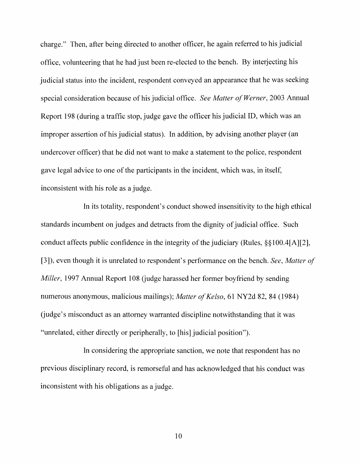charge." Then, after being directed to another officer, he again referred to his judicial office, volunteering that he had just been re-elected to the bench. By interjecting his judicial status into the incident, respondent conveyed an appearance that he was seeking special consideration because of his judicial office. *See Matter of Werner*, 2003 Annual Report 198 (during a traffic stop, judge gave the officer his judicial ID, which was an improper assertion of his judicial status). In addition, by advising another player (an undercover officer) that he did not want to make a statement to the police, respondent gave legal advice to one of the participants in the incident, which was, in itself, inconsistent with his role as a judge.

In its totality, respondent's conduct showed insensitivity to the high ethical standards incumbent on judges and detracts from the dignity of judicial office. Such conduct affects public confidence in the integrity of the judiciary (Rules,  $\S$ §100.4[A][2], [3]), even though it is unrelated to respondent's perfonnance on the bench. *See, Matter of Miller*, 1997 Annual Report 108 (judge harassed her former boyfriend by sending numerous anonymous, malicious mailings); *Matter of Kelso*, 61 NY2d 82, 84 (1984) (judge's misconduct as an attorney warranted discipline notwithstanding that it was "unrelated, either directly or peripherally, to [his] judicial position").

In considering the appropriate sanction, we note that respondent has no previous disciplinary record, is remorseful and has acknowledged that his conduct was inconsistent with his obligations as a judge.